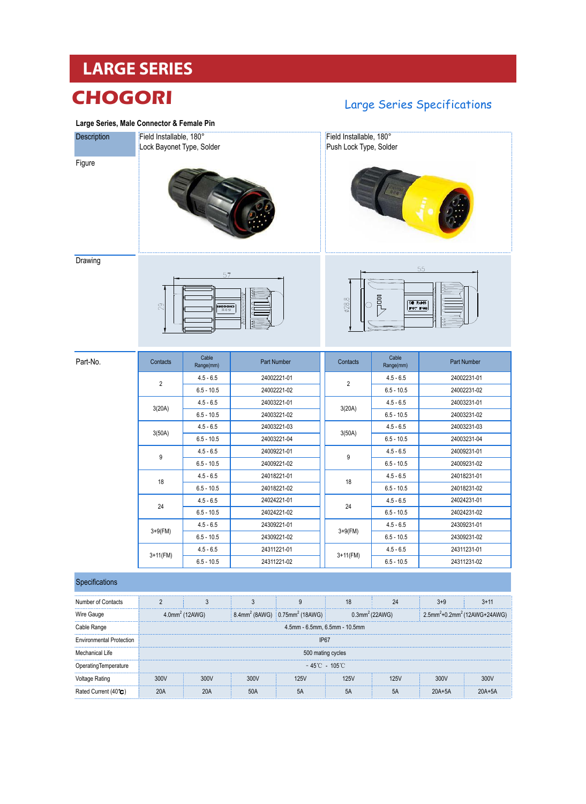# **LARGE SERIES**

## **CHOGORI**

#### **Large Series, Male Connector & Female Pin**

### Large Series Specifications

| Description | Field Installable, 180°<br>Lock Bayonet Type, Solder |                                 |                            |                | Field Installable, 180°<br>Push Lock Type, Solder |                            |  |
|-------------|------------------------------------------------------|---------------------------------|----------------------------|----------------|---------------------------------------------------|----------------------------|--|
| Figure      |                                                      |                                 |                            |                |                                                   |                            |  |
| Drawing     |                                                      |                                 |                            |                |                                                   | 55                         |  |
|             | 29                                                   | 57<br><b>CHOCORI</b><br>CHOCORI |                            | Ø28.8          | 昆<br>CE RoHS                                      | IP67 IP68<br>CT            |  |
|             |                                                      |                                 |                            |                |                                                   |                            |  |
| Part-No.    | Contacts                                             | Cable<br>Range(mm)              | Part Number                | Contacts       | Cable<br>Range(mm)                                | Part Number                |  |
|             |                                                      | $4.5 - 6.5$                     | 24002221-01                |                | $4.5 - 6.5$                                       | 24002231-01                |  |
|             | 2                                                    | $6.5 - 10.5$                    | 24002221-02                | $\overline{2}$ | $6.5 - 10.5$                                      | 24002231-02                |  |
|             |                                                      | $4.5 - 6.5$                     | 24003221-01                |                | $4.5 - 6.5$                                       | 24003231-01                |  |
|             | 3(20A)                                               | $6.5 - 10.5$                    | 24003221-02                | 3(20A)         | $6.5 - 10.5$                                      | 24003231-02                |  |
|             |                                                      | $4.5 - 6.5$                     | 24003221-03                |                | $4.5 - 6.5$                                       | 24003231-03                |  |
|             | 3(50A)                                               | $6.5 - 10.5$                    | 24003221-04                | 3(50A)         | $6.5 - 10.5$                                      | 24003231-04                |  |
|             |                                                      | $4.5 - 6.5$                     | 24009221-01                |                | $4.5 - 6.5$                                       | 24009231-01                |  |
|             | 9                                                    | $6.5 - 10.5$                    | 24009221-02                | 9              | $6.5 - 10.5$                                      | 24009231-02                |  |
|             |                                                      | $4.5 - 6.5$                     | 24018221-01                |                | $4.5 - 6.5$                                       | 24018231-01                |  |
|             | 18                                                   | $6.5 - 10.5$                    | 24018221-02                | 18             | $6.5 - 10.5$                                      | 24018231-02                |  |
|             | 24                                                   | $4.5 - 6.5$                     | 24024221-01                |                | $4.5 - 6.5$                                       | 24024231-01                |  |
|             |                                                      | $6.5 - 10.5$                    | 24024221-02                | 24             | $6.5 - 10.5$                                      | 24024231-02                |  |
|             |                                                      | $4.5 - 6.5$                     | 24309221-01                |                | $4.5 - 6.5$                                       | 24309231-01                |  |
|             | $3 + 9$ (FM)                                         | $6.5 - 10.5$                    | 24309221-02                | $3 + 9$ (FM)   | $6.5 - 10.5$                                      | 24309231-02                |  |
|             | $3+11$ (FM)                                          | $4.5 - 6.5$<br>$6.5 - 10.5$     | 24311221-01<br>24311221-02 | $3+11$ (FM)    | $4.5 - 6.5$<br>$6.5 - 10.5$                       | 24311231-01<br>24311231-02 |  |

| Number of Contacts              |                                    |                               |  |                                                                                      |  |                               |      |                                                      |  |  |
|---------------------------------|------------------------------------|-------------------------------|--|--------------------------------------------------------------------------------------|--|-------------------------------|------|------------------------------------------------------|--|--|
| Wire Gauge                      |                                    | $4.0$ mm <sup>2</sup> (12AWG) |  | $8.4$ mm <sup>2</sup> (8AWG) $\frac{1}{2}$ 0.75mm <sup>2</sup> (18AWG) $\frac{1}{2}$ |  | $0.3$ mm <sup>2</sup> (22AWG) |      | 2.5mm <sup>2</sup> +0.2mm <sup>2</sup> (12AWG+24AWG) |  |  |
| Cable Range                     |                                    | 4.5mm - 6.5mm, 6.5mm - 10.5mm |  |                                                                                      |  |                               |      |                                                      |  |  |
| <b>Environmental Protection</b> |                                    | IP6.                          |  |                                                                                      |  |                               |      |                                                      |  |  |
| Mechanical Life                 |                                    | 500 mating cycles             |  |                                                                                      |  |                               |      |                                                      |  |  |
| Operating Temperature           | $-45^{\circ}$ C - 105 $^{\circ}$ C |                               |  |                                                                                      |  |                               |      |                                                      |  |  |
| Voltage Rating                  |                                    |                               |  |                                                                                      |  | 25V                           | 300V | 300V                                                 |  |  |
| Rated Current (40°C             |                                    |                               |  |                                                                                      |  | 5A                            |      |                                                      |  |  |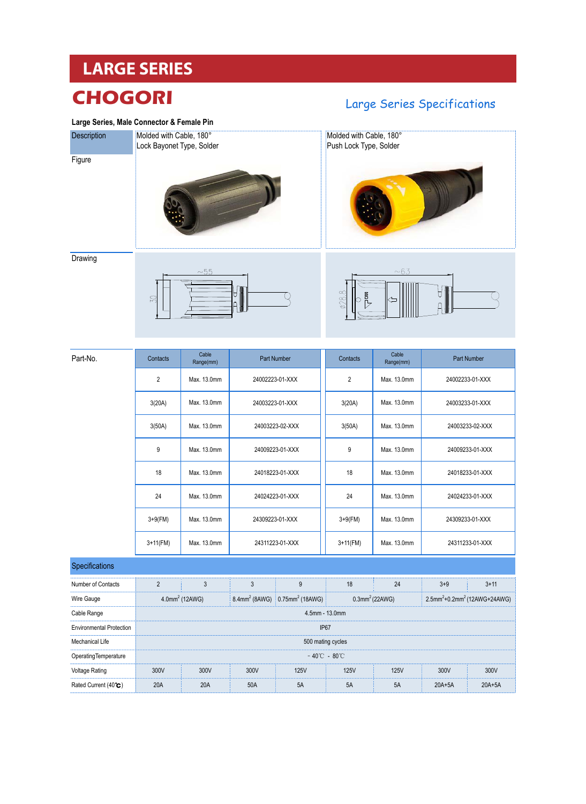## **LARGE SERIES**

## **CHOGORI**

#### **Large Series, Male Connector & Female Pin**

Molded with Cable, 180°

# **Description**

**Figure** 







#### **Drawing**





| Part-No.                        | Cable<br>Contacts<br>Part Number<br>Range(mm)    |                                                                                                                                                                                 |                 | Contacts        | Cable<br>Range(mm) |             | Part Number     |                 |
|---------------------------------|--------------------------------------------------|---------------------------------------------------------------------------------------------------------------------------------------------------------------------------------|-----------------|-----------------|--------------------|-------------|-----------------|-----------------|
|                                 | $\overline{2}$<br>Max. 13.0mm<br>24002223-01-XXX |                                                                                                                                                                                 |                 | $\overline{2}$  | Max. 13.0mm        |             | 24002233-01-XXX |                 |
|                                 | 3(20A)                                           | Max. 13.0mm                                                                                                                                                                     | 24003223-01-XXX |                 | 3(20A)             | Max. 13.0mm | 24003233-01-XXX |                 |
|                                 | 3(50A)                                           | Max. 13.0mm                                                                                                                                                                     | 24003223-02-XXX |                 | 3(50A)             | Max. 13.0mm |                 | 24003233-02-XXX |
|                                 | 9                                                | Max. 13.0mm                                                                                                                                                                     | 24009223-01-XXX |                 | 9                  | Max. 13.0mm |                 | 24009233-01-XXX |
|                                 | 18                                               | Max. 13.0mm                                                                                                                                                                     |                 | 24018223-01-XXX | 18                 | Max. 13.0mm |                 | 24018233-01-XXX |
|                                 | 24                                               | Max. 13.0mm                                                                                                                                                                     | 24024223-01-XXX |                 | 24                 | Max. 13.0mm | 24024233-01-XXX |                 |
|                                 | $3+9$ (FM)                                       | Max. 13.0mm                                                                                                                                                                     | 24309223-01-XXX |                 | $3+9$ (FM)         | Max. 13.0mm |                 | 24309233-01-XXX |
|                                 | $3+11$ (FM)                                      | Max. 13.0mm                                                                                                                                                                     | 24311223-01-XXX |                 | $3+11$ (FM)        | Max. 13.0mm |                 | 24311233-01-XXX |
| Specifications                  |                                                  |                                                                                                                                                                                 |                 |                 |                    |             |                 |                 |
| Number of Contacts              | $\overline{2}$                                   | 3                                                                                                                                                                               | $\mathbf{3}$    | $9\,$           | 18                 | 24          | $3 + 9$         | $3 + 11$        |
| Wire Gauge                      |                                                  | 8.4mm <sup>2</sup> (8AWG) 0.75mm <sup>2</sup> (18AWG)<br>$0.3$ mm <sup>2</sup> (22AWG)<br>2.5mm <sup>2</sup> +0.2mm <sup>2</sup> (12AWG+24AWG)<br>$4.0$ mm <sup>2</sup> (12AWG) |                 |                 |                    |             |                 |                 |
| Cable Range                     | 4.5mm - 13.0mm                                   |                                                                                                                                                                                 |                 |                 |                    |             |                 |                 |
| <b>Environmental Protection</b> | <b>IP67</b>                                      |                                                                                                                                                                                 |                 |                 |                    |             |                 |                 |
| <b>Mechanical Life</b>          | 500 mating cycles                                |                                                                                                                                                                                 |                 |                 |                    |             |                 |                 |
| OperatingTemperature            | $-40^{\circ}$ C - 80 $^{\circ}$ C                |                                                                                                                                                                                 |                 |                 |                    |             |                 |                 |
| <b>Voltage Rating</b>           | 300V                                             | 300V                                                                                                                                                                            | 300V            | <b>125V</b>     | <b>125V</b>        | <b>125V</b> | 300V            | 300V            |
| Rated Current (40°C)            | 20A                                              | <b>20A</b>                                                                                                                                                                      | 50A             | 5A              | 5A                 | 5A          | $20A+5A$        | $20A+5A$        |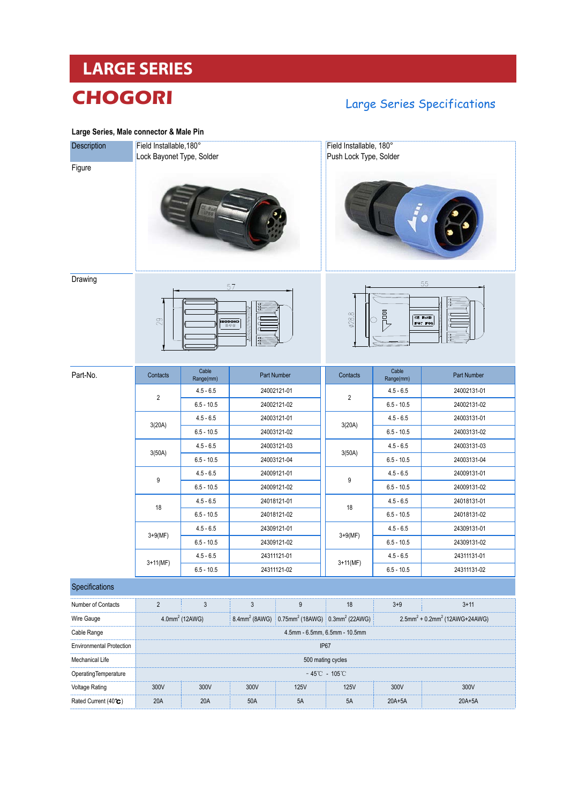# **LARGE SERIES CHOGORI**

### Large Series Specifications

| Large Series, Male connector & Male Pin |                                                             |                            |             |             |                                                                                                                                           |                    |             |  |
|-----------------------------------------|-------------------------------------------------------------|----------------------------|-------------|-------------|-------------------------------------------------------------------------------------------------------------------------------------------|--------------------|-------------|--|
| Description                             | Field Installable, 180°<br>Lock Bayonet Type, Solder        |                            |             |             | Field Installable, 180°<br>Push Lock Type, Solder                                                                                         |                    |             |  |
| Figure                                  |                                                             |                            |             |             |                                                                                                                                           |                    |             |  |
| Drawing                                 | 57<br>29<br>сносоиі<br>∜∜∄                                  |                            |             |             | 55<br>晶<br><b>ø28.8</b><br>CE RoHS<br><b>IP67 IP68</b>                                                                                    |                    |             |  |
| Part-No.                                | Contacts                                                    | Cable<br>Range(mm)         |             | Part Number | Contacts                                                                                                                                  | Cable<br>Range(mm) | Part Number |  |
|                                         | $\overline{2}$                                              | $4.5 - 6.5$                |             | 24002121-01 |                                                                                                                                           | $4.5 - 6.5$        | 24002131-01 |  |
|                                         |                                                             | $6.5 - 10.5$               |             | 24002121-02 | $\overline{c}$                                                                                                                            | $6.5 - 10.5$       | 24002131-02 |  |
|                                         | 3(20A)                                                      | $4.5 - 6.5$                | 24003121-01 |             |                                                                                                                                           | $4.5 - 6.5$        | 24003131-01 |  |
|                                         |                                                             | $6.5 - 10.5$               |             | 24003121-02 | 3(20A)                                                                                                                                    | $6.5 - 10.5$       | 24003131-02 |  |
|                                         | 3(50A)                                                      | $4.5 - 6.5$                | 24003121-03 |             |                                                                                                                                           | $4.5 - 6.5$        | 24003131-03 |  |
|                                         |                                                             | $6.5 - 10.5$               |             | 24003121-04 | 3(50A)                                                                                                                                    | $6.5 - 10.5$       | 24003131-04 |  |
|                                         | 9                                                           | $4.5 - 6.5$                | 24009121-01 |             | 9                                                                                                                                         | $4.5 - 6.5$        | 24009131-01 |  |
|                                         |                                                             | $6.5 - 10.5$               | 24009121-02 |             |                                                                                                                                           | $6.5 - 10.5$       | 24009131-02 |  |
|                                         | 18                                                          | $4.5 - 6.5$                | 24018121-01 |             | 18                                                                                                                                        | $4.5 - 6.5$        | 24018131-01 |  |
|                                         |                                                             | $6.5 - 10.5$               | 24018121-02 |             |                                                                                                                                           | $6.5 - 10.5$       | 24018131-02 |  |
|                                         | $3 + 9(MF)$                                                 | $4.5 - 6.5$                | 24309121-01 |             | $3 + 9(MF)$                                                                                                                               | $4.5 - 6.5$        | 24309131-01 |  |
|                                         |                                                             | $6.5 - 10.5$               | 24309121-02 |             |                                                                                                                                           | $6.5 - 10.5$       | 24309131-02 |  |
|                                         | $3+11(MF)$                                                  | $4.5 - 6.5$                | 24311121-01 |             | $3+11(MF)$                                                                                                                                | $4.5 - 6.5$        | 24311131-01 |  |
|                                         |                                                             | $6.5 - 10.5$               |             | 24311121-02 |                                                                                                                                           | $6.5 - 10.5$       | 24311131-02 |  |
| Specifications                          |                                                             |                            |             |             |                                                                                                                                           |                    |             |  |
| Number of Contacts                      | $\overline{2}$                                              | $\mathbf{3}$               | 3           | 9           | 18                                                                                                                                        | $3 + 9$            | $3 + 11$    |  |
| Wire Gauge                              |                                                             | 4.0mm <sup>2</sup> (12AWG) |             |             | 8.4mm <sup>2</sup> (8AWG) 0.75mm <sup>2</sup> (18AWG) 0.3mm <sup>2</sup> (22AWG)<br>2.5mm <sup>2</sup> + 0.2mm <sup>2</sup> (12AWG+24AWG) |                    |             |  |
| Cable Range                             | 4.5mm - 6.5mm, 6.5mm - 10.5mm                               |                            |             |             |                                                                                                                                           |                    |             |  |
| <b>Environmental Protection</b>         | IP67                                                        |                            |             |             |                                                                                                                                           |                    |             |  |
| Mechanical Life                         | 500 mating cycles                                           |                            |             |             |                                                                                                                                           |                    |             |  |
| OperatingTemperature                    | $-45^{\circ}\text{C} - 105^{\circ}\text{C}$                 |                            |             |             |                                                                                                                                           |                    |             |  |
| <b>Voltage Rating</b>                   | 300V<br>300V<br>300V<br><b>125V</b><br>300V<br>300V<br>125V |                            |             |             |                                                                                                                                           |                    |             |  |
| Rated Current (40°C)                    | 20A                                                         | 20A                        | 50A         | 5A          | $5A$                                                                                                                                      | $20A+5A$           | $20A+5A$    |  |